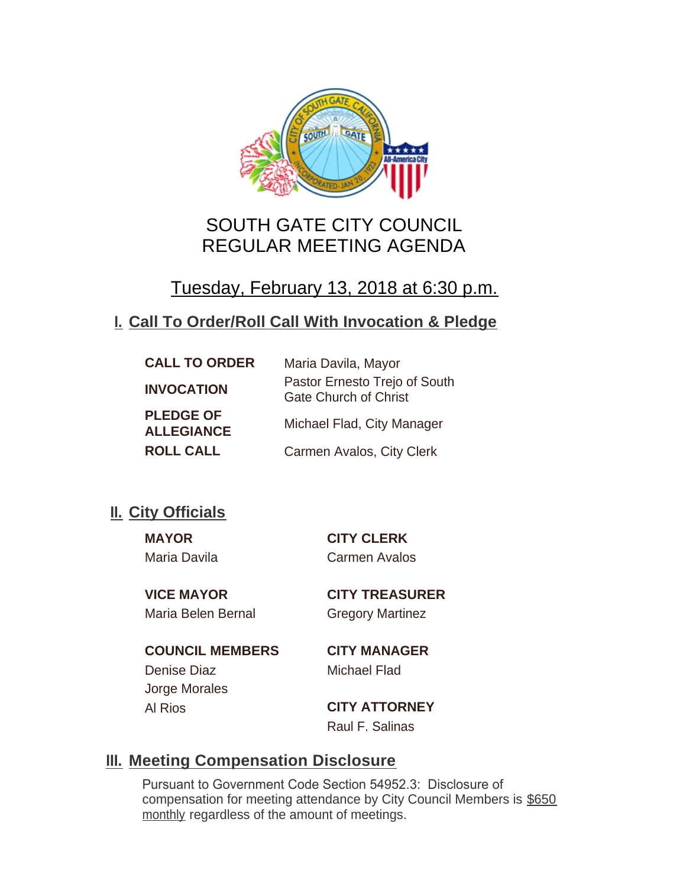

# SOUTH GATE CITY COUNCIL REGULAR MEETING AGENDA

# Tuesday, February 13, 2018 at 6:30 p.m.

## **Call To Order/Roll Call With Invocation & Pledge I.**

| <b>CALL TO ORDER</b>                  | Maria Davila, Mayor                                           |
|---------------------------------------|---------------------------------------------------------------|
| <b>INVOCATION</b>                     | Pastor Ernesto Trejo of South<br><b>Gate Church of Christ</b> |
| <b>PLEDGE OF</b><br><b>ALLEGIANCE</b> | Michael Flad, City Manager                                    |
| <b>ROLL CALL</b>                      | Carmen Avalos, City Clerk                                     |

## **II.** City Officials

**MAYOR CITY CLERK** Maria Davila Carmen Avalos

Maria Belen Bernal Gregory Martinez

**VICE MAYOR CITY TREASURER**

**COUNCIL MEMBERS CITY MANAGER** Denise Diaz Michael Flad Jorge Morales Al Rios **CITY ATTORNEY**

Raul F. Salinas

## **Meeting Compensation Disclosure III.**

Pursuant to Government Code Section 54952.3: Disclosure of compensation for meeting attendance by City Council Members is \$650 monthly regardless of the amount of meetings.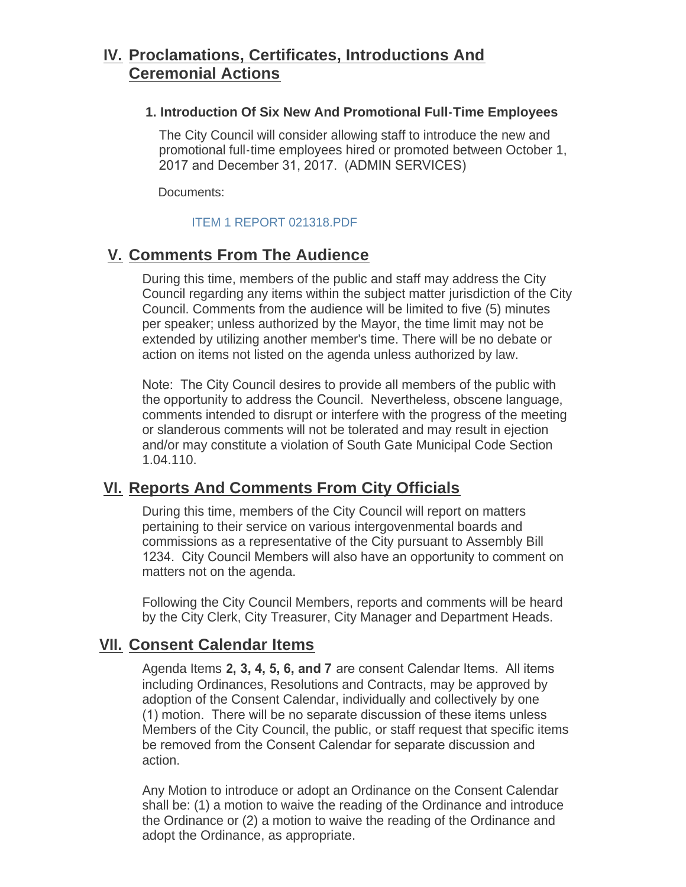## **Proclamations, Certificates, Introductions And IV. Ceremonial Actions**

#### **1. Introduction Of Six New And Promotional Full-Time Employees**

The City Council will consider allowing staff to introduce the new and promotional full-time employees hired or promoted between October 1, 2017 and December 31, 2017. (ADMIN SERVICES)

Documents:

#### [ITEM 1 REPORT 021318.PDF](http://ca-southgate.civicplus.com/AgendaCenter/ViewFile/Item/5473?fileID=11628)

## **Comments From The Audience V.**

During this time, members of the public and staff may address the City Council regarding any items within the subject matter jurisdiction of the City Council. Comments from the audience will be limited to five (5) minutes per speaker; unless authorized by the Mayor, the time limit may not be extended by utilizing another member's time. There will be no debate or action on items not listed on the agenda unless authorized by law.

Note: The City Council desires to provide all members of the public with the opportunity to address the Council. Nevertheless, obscene language, comments intended to disrupt or interfere with the progress of the meeting or slanderous comments will not be tolerated and may result in ejection and/or may constitute a violation of South Gate Municipal Code Section 1.04.110.

## **Reports And Comments From City Officials VI.**

During this time, members of the City Council will report on matters pertaining to their service on various intergovenmental boards and commissions as a representative of the City pursuant to Assembly Bill 1234. City Council Members will also have an opportunity to comment on matters not on the agenda.

Following the City Council Members, reports and comments will be heard by the City Clerk, City Treasurer, City Manager and Department Heads.

## **Consent Calendar Items VII.**

Agenda Items **2, 3, 4, 5, 6, and 7** are consent Calendar Items. All items including Ordinances, Resolutions and Contracts, may be approved by adoption of the Consent Calendar, individually and collectively by one (1) motion. There will be no separate discussion of these items unless Members of the City Council, the public, or staff request that specific items be removed from the Consent Calendar for separate discussion and action.

Any Motion to introduce or adopt an Ordinance on the Consent Calendar shall be: (1) a motion to waive the reading of the Ordinance and introduce the Ordinance or (2) a motion to waive the reading of the Ordinance and adopt the Ordinance, as appropriate.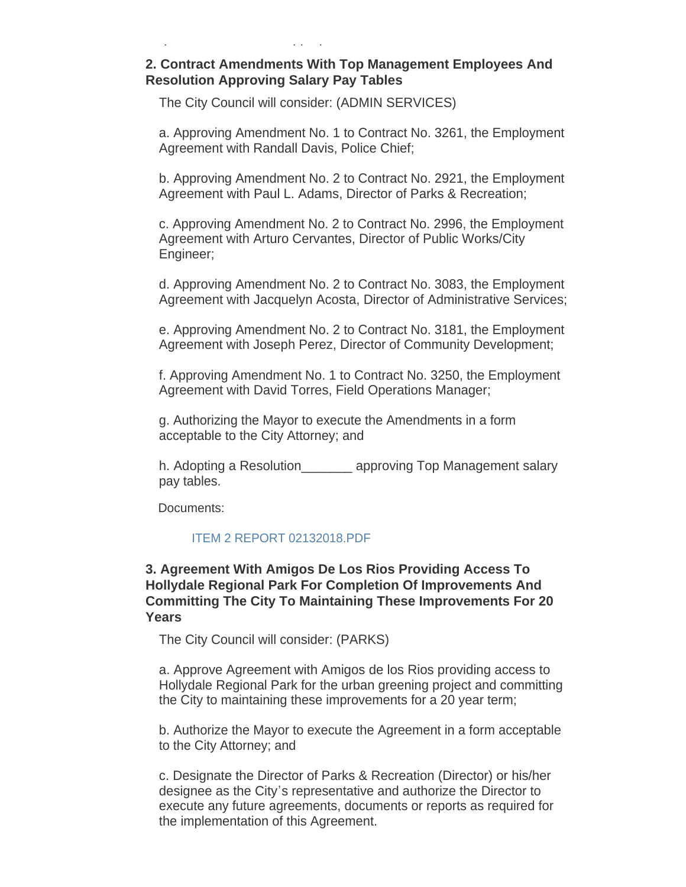#### **2. Contract Amendments With Top Management Employees And Resolution Approving Salary Pay Tables**

The City Council will consider: (ADMIN SERVICES)

adopt the Ordinance, as appropriate.

a. Approving Amendment No. 1 to Contract No. 3261, the Employment Agreement with Randall Davis, Police Chief;

b. Approving Amendment No. 2 to Contract No. 2921, the Employment Agreement with Paul L. Adams, Director of Parks & Recreation;

c. Approving Amendment No. 2 to Contract No. 2996, the Employment Agreement with Arturo Cervantes, Director of Public Works/City Engineer;

d. Approving Amendment No. 2 to Contract No. 3083, the Employment Agreement with Jacquelyn Acosta, Director of Administrative Services;

e. Approving Amendment No. 2 to Contract No. 3181, the Employment Agreement with Joseph Perez, Director of Community Development;

f. Approving Amendment No. 1 to Contract No. 3250, the Employment Agreement with David Torres, Field Operations Manager;

g. Authorizing the Mayor to execute the Amendments in a form acceptable to the City Attorney; and

h. Adopting a Resolution approving Top Management salary pay tables.

Documents:

#### [ITEM 2 REPORT 02132018.PDF](http://ca-southgate.civicplus.com/AgendaCenter/ViewFile/Item/5474?fileID=11626)

#### **3. Agreement With Amigos De Los Rios Providing Access To Hollydale Regional Park For Completion Of Improvements And Committing The City To Maintaining These Improvements For 20 Years**

The City Council will consider: (PARKS)

a. Approve Agreement with Amigos de los Rios providing access to Hollydale Regional Park for the urban greening project and committing the City to maintaining these improvements for a 20 year term;

b. Authorize the Mayor to execute the Agreement in a form acceptable to the City Attorney; and

c. Designate the Director of Parks & Recreation (Director) or his/her designee as the City's representative and authorize the Director to execute any future agreements, documents or reports as required for the implementation of this Agreement.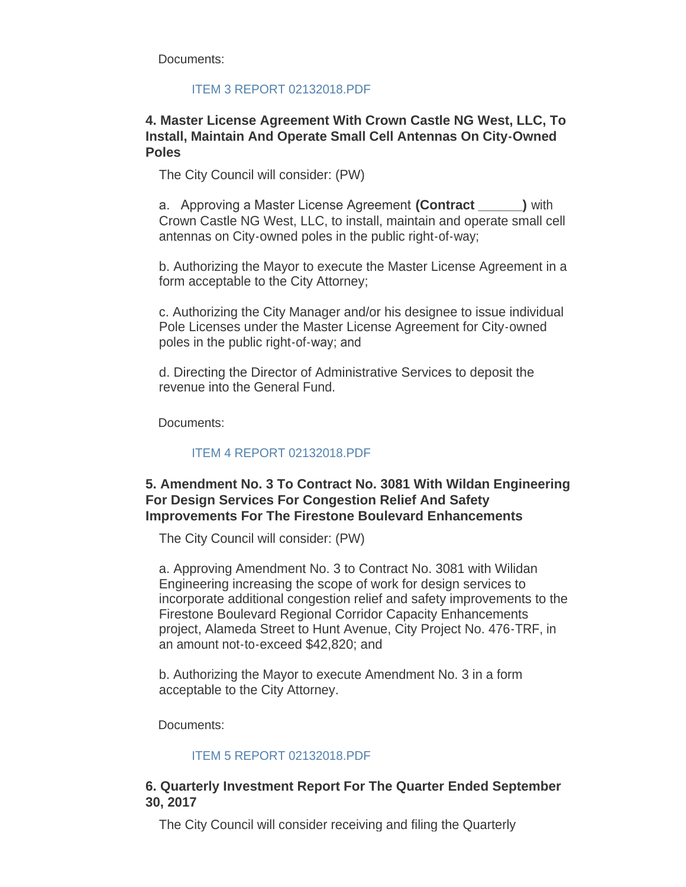Documents:

#### [ITEM 3 REPORT 02132018.PDF](http://ca-southgate.civicplus.com/AgendaCenter/ViewFile/Item/5477?fileID=11629)

#### **4. Master License Agreement With Crown Castle NG West, LLC, To Install, Maintain And Operate Small Cell Antennas On City-Owned Poles**

The City Council will consider: (PW)

a. Approving a Master License Agreement **(Contract \_\_\_\_\_\_)** with Crown Castle NG West, LLC, to install, maintain and operate small cell antennas on City-owned poles in the public right-of-way;

b. Authorizing the Mayor to execute the Master License Agreement in a form acceptable to the City Attorney;

c. Authorizing the City Manager and/or his designee to issue individual Pole Licenses under the Master License Agreement for City-owned poles in the public right-of-way; and

d. Directing the Director of Administrative Services to deposit the revenue into the General Fund.

Documents:

#### [ITEM 4 REPORT 02132018.PDF](http://ca-southgate.civicplus.com/AgendaCenter/ViewFile/Item/5478?fileID=11630)

#### **5. Amendment No. 3 To Contract No. 3081 With Wildan Engineering For Design Services For Congestion Relief And Safety Improvements For The Firestone Boulevard Enhancements**

The City Council will consider: (PW)

a. Approving Amendment No. 3 to Contract No. 3081 with Wilidan Engineering increasing the scope of work for design services to incorporate additional congestion relief and safety improvements to the Firestone Boulevard Regional Corridor Capacity Enhancements project, Alameda Street to Hunt Avenue, City Project No. 476-TRF, in an amount not-to-exceed \$42,820; and

b. Authorizing the Mayor to execute Amendment No. 3 in a form acceptable to the City Attorney.

Documents:

#### [ITEM 5 REPORT 02132018.PDF](http://ca-southgate.civicplus.com/AgendaCenter/ViewFile/Item/5479?fileID=11631)

#### **6. Quarterly Investment Report For The Quarter Ended September 30, 2017**

The City Council will consider receiving and filing the Quarterly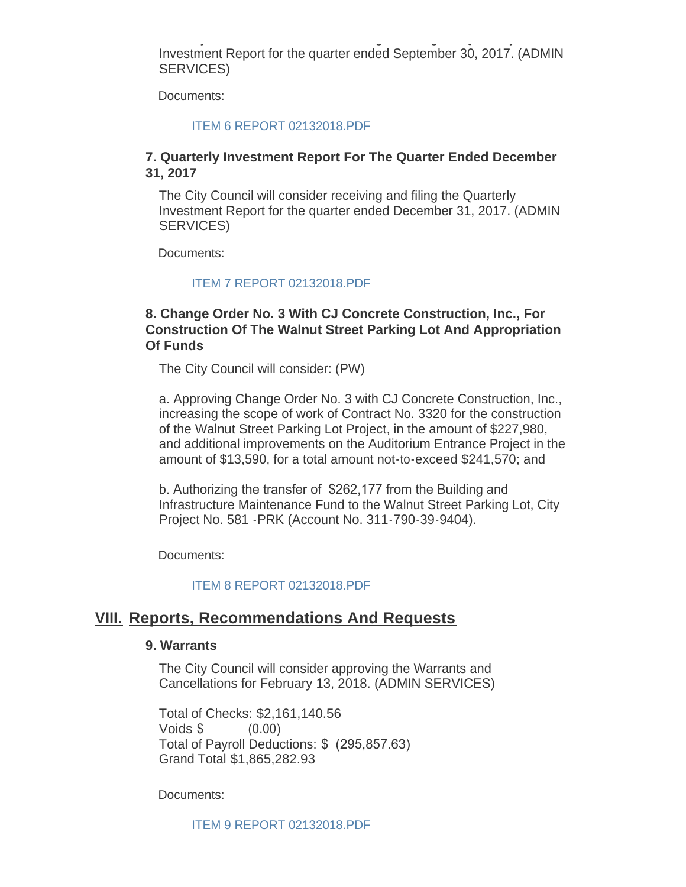The City Council will consider receiving and filing the Quarterly Investment Report for the quarter ended September 30, 2017. (ADMIN SERVICES)

Documents:

#### [ITEM 6 REPORT 02132018.PDF](http://ca-southgate.civicplus.com/AgendaCenter/ViewFile/Item/5480?fileID=11632)

#### **7. Quarterly Investment Report For The Quarter Ended December 31, 2017**

The City Council will consider receiving and filing the Quarterly Investment Report for the quarter ended December 31, 2017. (ADMIN SERVICES)

Documents:

#### [ITEM 7 REPORT 02132018.PDF](http://ca-southgate.civicplus.com/AgendaCenter/ViewFile/Item/5481?fileID=11633)

#### **8. Change Order No. 3 With CJ Concrete Construction, Inc., For Construction Of The Walnut Street Parking Lot And Appropriation Of Funds**

The City Council will consider: (PW)

a. Approving Change Order No. 3 with CJ Concrete Construction, Inc., increasing the scope of work of Contract No. 3320 for the construction of the Walnut Street Parking Lot Project, in the amount of \$227,980, and additional improvements on the Auditorium Entrance Project in the amount of \$13,590, for a total amount not-to-exceed \$241,570; and

b. Authorizing the transfer of \$262,177 from the Building and Infrastructure Maintenance Fund to the Walnut Street Parking Lot, City Project No. 581 -PRK (Account No. 311-790-39-9404).

Documents:

[ITEM 8 REPORT 02132018.PDF](http://ca-southgate.civicplus.com/AgendaCenter/ViewFile/Item/5482?fileID=11634)

### **Reports, Recommendations And Requests VIII.**

#### **9. Warrants**

The City Council will consider approving the Warrants and Cancellations for February 13, 2018. (ADMIN SERVICES)

Total of Checks: \$2,161,140.56 Voids \$ (0.00) Total of Payroll Deductions: \$ (295,857.63) Grand Total \$1,865,282.93

Documents:

[ITEM 9 REPORT 02132018.PDF](http://ca-southgate.civicplus.com/AgendaCenter/ViewFile/Item/5475?fileID=11627)